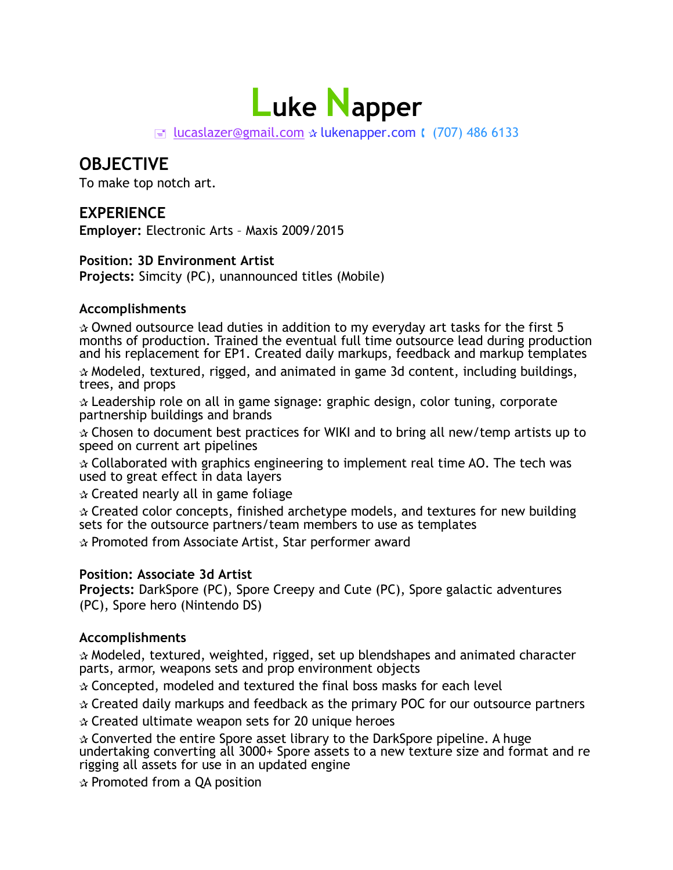

 $\equiv$  [lucaslazer@gmail.com](mailto:lucaslazer@gmail.com)  $\alpha$  lukenapper.com ((707) 486 6133

## **OBJECTIVE**

To make top notch art.

## **EXPERIENCE**

**Employer:** Electronic Arts – Maxis 2009/2015

#### **Position: 3D Environment Artist**

**Projects:** Simcity (PC), unannounced titles (Mobile)

#### **Accomplishments**

✰ Owned outsource lead duties in addition to my everyday art tasks for the first 5 months of production. Trained the eventual full time outsource lead during production and his replacement for EP1. Created daily markups, feedback and markup templates

✰ Modeled, textured, rigged, and animated in game 3d content, including buildings, trees, and props

 $\alpha$  Leadership role on all in game signage: graphic design, color tuning, corporate partnership buildings and brands

✰ Chosen to document best practices for WIKI and to bring all new/temp artists up to speed on current art pipelines

✰ Collaborated with graphics engineering to implement real time AO. The tech was used to great effect in data layers

✰ Created nearly all in game foliage

✰ Created color concepts, finished archetype models, and textures for new building sets for the outsource partners/team members to use as templates

✰ Promoted from Associate Artist, Star performer award

#### **Position: Associate 3d Artist**

**Projects:** DarkSpore (PC), Spore Creepy and Cute (PC), Spore galactic adventures (PC), Spore hero (Nintendo DS)

#### **Accomplishments**

✰ Modeled, textured, weighted, rigged, set up blendshapes and animated character parts, armor, weapons sets and prop environment objects

✰ Concepted, modeled and textured the final boss masks for each level

✰ Created daily markups and feedback as the primary POC for our outsource partners

✰ Created ultimate weapon sets for 20 unique heroes

✰ Converted the entire Spore asset library to the DarkSpore pipeline. A huge undertaking converting all 3000+ Spore assets to a new texture size and format and re rigging all assets for use in an updated engine

✰ Promoted from a QA position